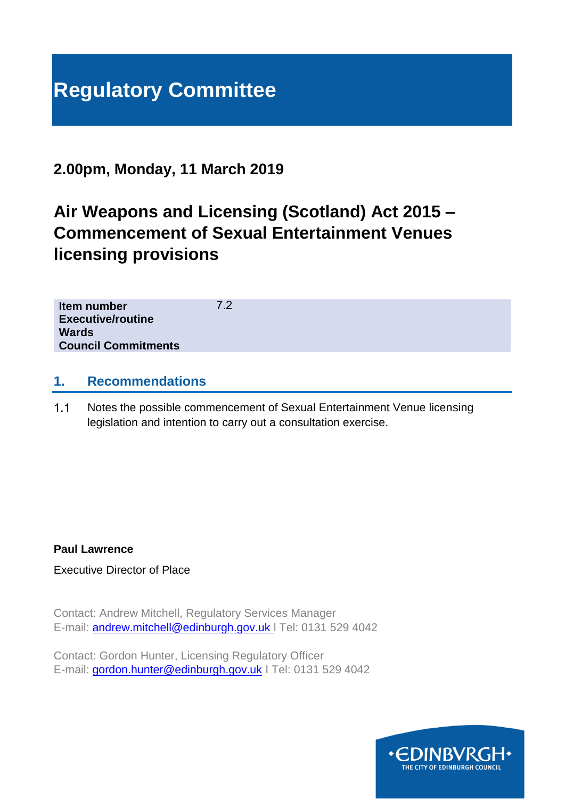# **Regulatory Committee**

# **2.00pm, Monday, 11 March 2019**

# **Air Weapons and Licensing (Scotland) Act 2015 – Commencement of Sexual Entertainment Venues licensing provisions**

7.2

| Item number                |  |
|----------------------------|--|
| <b>Executive/routine</b>   |  |
| Wards                      |  |
| <b>Council Commitments</b> |  |

#### **1. Recommendations**

 $1.1$ Notes the possible commencement of Sexual Entertainment Venue licensing legislation and intention to carry out a consultation exercise.

#### **Paul Lawrence**

Executive Director of Place

Contact: Andrew Mitchell, Regulatory Services Manager E-mail: [andrew.mitchell@edinburgh.gov.uk](mailto:andrew.mitchell@edinburgh.gov.uk) l Tel: 0131 529 4042

Contact: Gordon Hunter, Licensing Regulatory Officer E-mail: [gordon.hunter@edinburgh.gov.uk](mailto:gordon.hunter@edinburgh.gov.uk) I Tel: 0131 529 4042

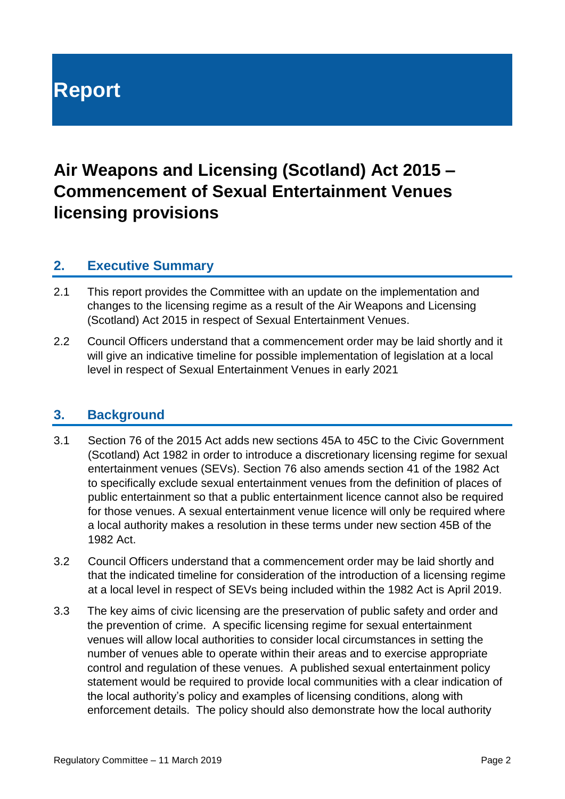# **Report**

# **Air Weapons and Licensing (Scotland) Act 2015 – Commencement of Sexual Entertainment Venues licensing provisions**

#### **2. Executive Summary**

- 2.1 This report provides the Committee with an update on the implementation and changes to the licensing regime as a result of the Air Weapons and Licensing (Scotland) Act 2015 in respect of Sexual Entertainment Venues.
- 2.2 Council Officers understand that a commencement order may be laid shortly and it will give an indicative timeline for possible implementation of legislation at a local level in respect of Sexual Entertainment Venues in early 2021

#### **3. Background**

- 3.1 Section 76 of the 2015 Act adds new sections 45A to 45C to the Civic Government (Scotland) Act 1982 in order to introduce a discretionary licensing regime for sexual entertainment venues (SEVs). Section 76 also amends section 41 of the 1982 Act to specifically exclude sexual entertainment venues from the definition of places of public entertainment so that a public entertainment licence cannot also be required for those venues. A sexual entertainment venue licence will only be required where a local authority makes a resolution in these terms under new section 45B of the 1982 Act.
- 3.2 Council Officers understand that a commencement order may be laid shortly and that the indicated timeline for consideration of the introduction of a licensing regime at a local level in respect of SEVs being included within the 1982 Act is April 2019.
- 3.3 The key aims of civic licensing are the preservation of public safety and order and the prevention of crime. A specific licensing regime for sexual entertainment venues will allow local authorities to consider local circumstances in setting the number of venues able to operate within their areas and to exercise appropriate control and regulation of these venues. A published sexual entertainment policy statement would be required to provide local communities with a clear indication of the local authority's policy and examples of licensing conditions, along with enforcement details. The policy should also demonstrate how the local authority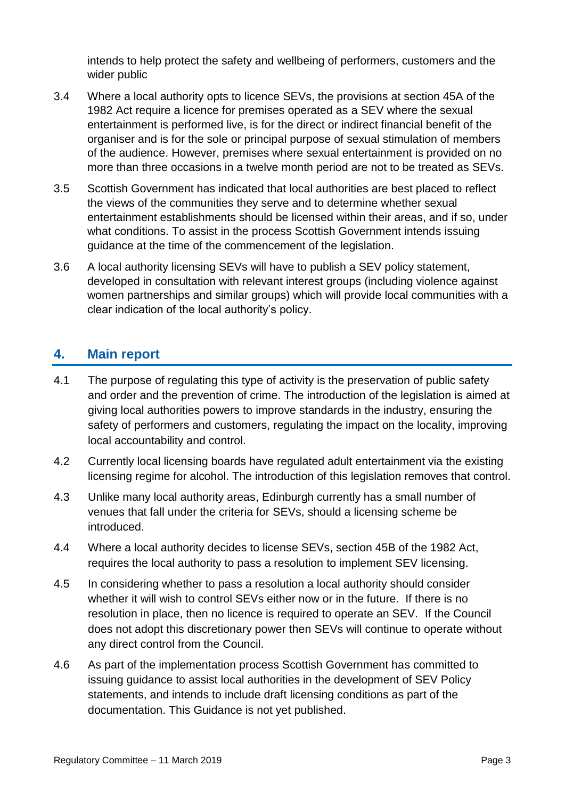intends to help protect the safety and wellbeing of performers, customers and the wider public

- 3.4 Where a local authority opts to licence SEVs, the provisions at section 45A of the 1982 Act require a licence for premises operated as a SEV where the sexual entertainment is performed live, is for the direct or indirect financial benefit of the organiser and is for the sole or principal purpose of sexual stimulation of members of the audience. However, premises where sexual entertainment is provided on no more than three occasions in a twelve month period are not to be treated as SEVs.
- 3.5 Scottish Government has indicated that local authorities are best placed to reflect the views of the communities they serve and to determine whether sexual entertainment establishments should be licensed within their areas, and if so, under what conditions. To assist in the process Scottish Government intends issuing guidance at the time of the commencement of the legislation.
- 3.6 A local authority licensing SEVs will have to publish a SEV policy statement, developed in consultation with relevant interest groups (including violence against women partnerships and similar groups) which will provide local communities with a clear indication of the local authority's policy.

### **4. Main report**

- 4.1 The purpose of regulating this type of activity is the preservation of public safety and order and the prevention of crime. The introduction of the legislation is aimed at giving local authorities powers to improve standards in the industry, ensuring the safety of performers and customers, regulating the impact on the locality, improving local accountability and control.
- 4.2 Currently local licensing boards have regulated adult entertainment via the existing licensing regime for alcohol. The introduction of this legislation removes that control.
- 4.3 Unlike many local authority areas, Edinburgh currently has a small number of venues that fall under the criteria for SEVs, should a licensing scheme be introduced.
- 4.4 Where a local authority decides to license SEVs, section 45B of the 1982 Act, requires the local authority to pass a resolution to implement SEV licensing.
- 4.5 In considering whether to pass a resolution a local authority should consider whether it will wish to control SEVs either now or in the future. If there is no resolution in place, then no licence is required to operate an SEV. If the Council does not adopt this discretionary power then SEVs will continue to operate without any direct control from the Council.
- 4.6 As part of the implementation process Scottish Government has committed to issuing guidance to assist local authorities in the development of SEV Policy statements, and intends to include draft licensing conditions as part of the documentation. This Guidance is not yet published.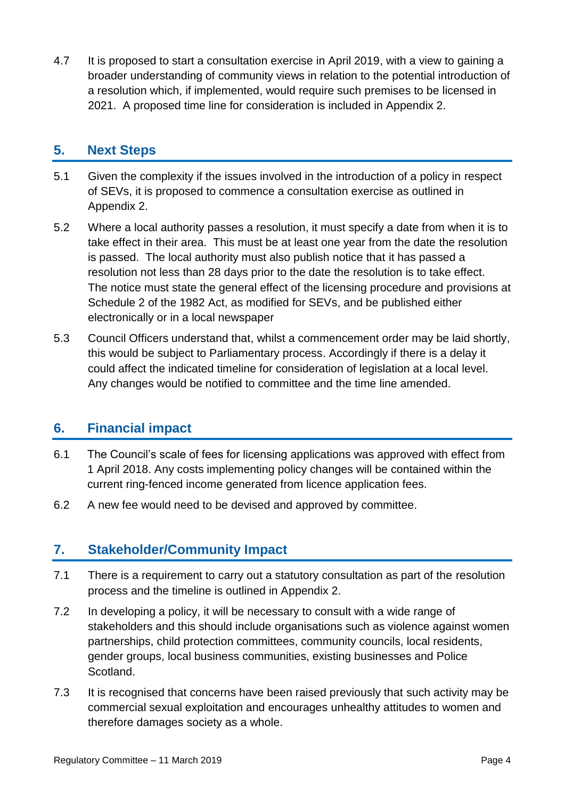4.7 It is proposed to start a consultation exercise in April 2019, with a view to gaining a broader understanding of community views in relation to the potential introduction of a resolution which, if implemented, would require such premises to be licensed in 2021. A proposed time line for consideration is included in Appendix 2.

### **5. Next Steps**

- 5.1 Given the complexity if the issues involved in the introduction of a policy in respect of SEVs, it is proposed to commence a consultation exercise as outlined in Appendix 2.
- 5.2 Where a local authority passes a resolution, it must specify a date from when it is to take effect in their area. This must be at least one year from the date the resolution is passed. The local authority must also publish notice that it has passed a resolution not less than 28 days prior to the date the resolution is to take effect. The notice must state the general effect of the licensing procedure and provisions at Schedule 2 of the 1982 Act, as modified for SEVs, and be published either electronically or in a local newspaper
- 5.3 Council Officers understand that, whilst a commencement order may be laid shortly, this would be subject to Parliamentary process. Accordingly if there is a delay it could affect the indicated timeline for consideration of legislation at a local level. Any changes would be notified to committee and the time line amended.

# **6. Financial impact**

- 6.1 The Council's scale of fees for licensing applications was approved with effect from 1 April 2018. Any costs implementing policy changes will be contained within the current ring-fenced income generated from licence application fees.
- 6.2 A new fee would need to be devised and approved by committee.

## **7. Stakeholder/Community Impact**

- 7.1 There is a requirement to carry out a statutory consultation as part of the resolution process and the timeline is outlined in Appendix 2.
- 7.2 In developing a policy, it will be necessary to consult with a wide range of stakeholders and this should include organisations such as violence against women partnerships, child protection committees, community councils, local residents, gender groups, local business communities, existing businesses and Police Scotland.
- 7.3 It is recognised that concerns have been raised previously that such activity may be commercial sexual exploitation and encourages unhealthy attitudes to women and therefore damages society as a whole.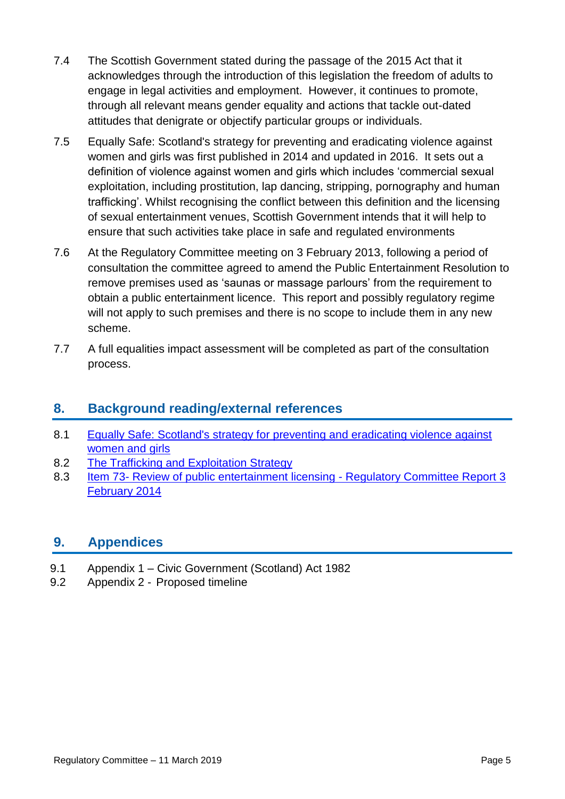- 7.4 The Scottish Government stated during the passage of the 2015 Act that it acknowledges through the introduction of this legislation the freedom of adults to engage in legal activities and employment. However, it continues to promote, through all relevant means gender equality and actions that tackle out-dated attitudes that denigrate or objectify particular groups or individuals.
- 7.5 Equally Safe: Scotland's strategy for preventing and eradicating violence against women and girls was first published in 2014 and updated in 2016. It sets out a definition of violence against women and girls which includes 'commercial sexual exploitation, including prostitution, lap dancing, stripping, pornography and human trafficking'. Whilst recognising the conflict between this definition and the licensing of sexual entertainment venues, Scottish Government intends that it will help to ensure that such activities take place in safe and regulated environments
- 7.6 At the Regulatory Committee meeting on 3 February 2013, following a period of consultation the committee agreed to amend the Public Entertainment Resolution to remove premises used as 'saunas or massage parlours' from the requirement to obtain a public entertainment licence. This report and possibly regulatory regime will not apply to such premises and there is no scope to include them in any new scheme.
- 7.7 A full equalities impact assessment will be completed as part of the consultation process.

# **8. Background reading/external references**

- 8.1 [Equally Safe: Scotland's strategy for preventing and eradicating violence against](https://www.gov.scot/publications/equally-safe-scotlands-strategy-prevent-eradicate-violence-against-women-girls/)  [women and girls](https://www.gov.scot/publications/equally-safe-scotlands-strategy-prevent-eradicate-violence-against-women-girls/)
- 8.2 [The Trafficking and Exploitation Strategy](https://www2.gov.scot/Resource/0051/00518587.pdf)
- 8.3 Item 73- [Review of public entertainment licensing -](http://www.edinburgh.gov.uk/download/meetings/id/59165/item_73_-_review_of_public_entertainment_licensing) Regulatory Committee Report 3 [February 2014](http://www.edinburgh.gov.uk/download/meetings/id/59165/item_73_-_review_of_public_entertainment_licensing)

## **9. Appendices**

- 9.1 Appendix 1 Civic Government (Scotland) Act 1982
- 9.2 Appendix 2 Proposed timeline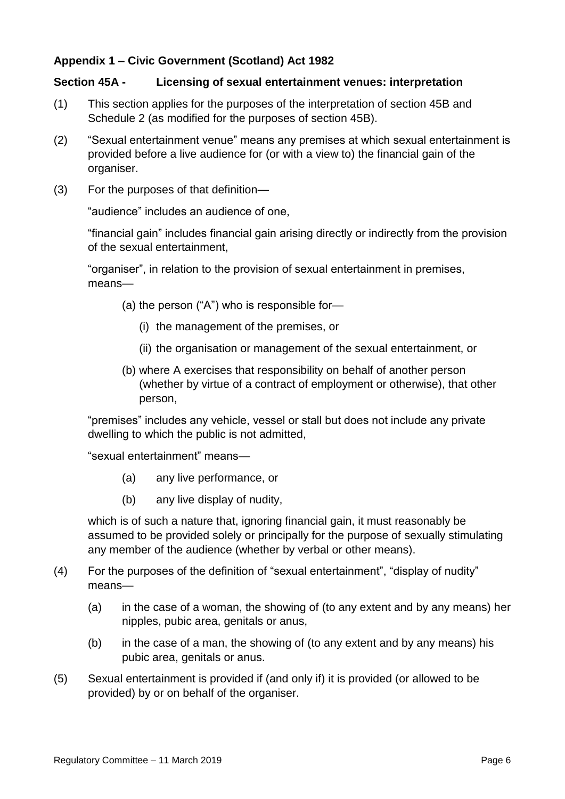#### **Appendix 1 – Civic Government (Scotland) Act 1982**

#### **Section 45A - Licensing of sexual entertainment venues: interpretation**

- (1) This section applies for the purposes of the interpretation of section 45B and Schedule 2 (as modified for the purposes of section 45B).
- (2) "Sexual entertainment venue" means any premises at which sexual entertainment is provided before a live audience for (or with a view to) the financial gain of the organiser.
- (3) For the purposes of that definition—

"audience" includes an audience of one,

"financial gain" includes financial gain arising directly or indirectly from the provision of the sexual entertainment,

"organiser", in relation to the provision of sexual entertainment in premises, means—

- (a) the person ("A") who is responsible for—
	- (i) the management of the premises, or
	- (ii) the organisation or management of the sexual entertainment, or
- (b) where A exercises that responsibility on behalf of another person (whether by virtue of a contract of employment or otherwise), that other person,

"premises" includes any vehicle, vessel or stall but does not include any private dwelling to which the public is not admitted,

"sexual entertainment" means—

- (a) any live performance, or
- (b) any live display of nudity,

which is of such a nature that, ignoring financial gain, it must reasonably be assumed to be provided solely or principally for the purpose of sexually stimulating any member of the audience (whether by verbal or other means).

- (4) For the purposes of the definition of "sexual entertainment", "display of nudity" means—
	- (a) in the case of a woman, the showing of (to any extent and by any means) her nipples, pubic area, genitals or anus,
	- (b) in the case of a man, the showing of (to any extent and by any means) his pubic area, genitals or anus.
- (5) Sexual entertainment is provided if (and only if) it is provided (or allowed to be provided) by or on behalf of the organiser.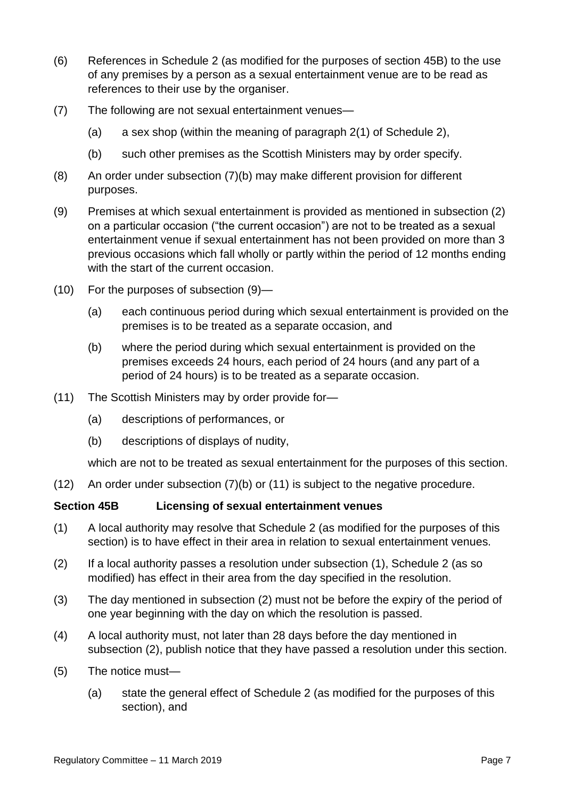- (6) References in Schedule 2 (as modified for the purposes of section 45B) to the use of any premises by a person as a sexual entertainment venue are to be read as references to their use by the organiser.
- (7) The following are not sexual entertainment venues—
	- (a) a sex shop (within the meaning of paragraph 2(1) of Schedule 2),
	- (b) such other premises as the Scottish Ministers may by order specify.
- (8) An order under subsection (7)(b) may make different provision for different purposes.
- (9) Premises at which sexual entertainment is provided as mentioned in subsection (2) on a particular occasion ("the current occasion") are not to be treated as a sexual entertainment venue if sexual entertainment has not been provided on more than 3 previous occasions which fall wholly or partly within the period of 12 months ending with the start of the current occasion.
- (10) For the purposes of subsection (9)—
	- (a) each continuous period during which sexual entertainment is provided on the premises is to be treated as a separate occasion, and
	- (b) where the period during which sexual entertainment is provided on the premises exceeds 24 hours, each period of 24 hours (and any part of a period of 24 hours) is to be treated as a separate occasion.
- (11) The Scottish Ministers may by order provide for—
	- (a) descriptions of performances, or
	- (b) descriptions of displays of nudity,

which are not to be treated as sexual entertainment for the purposes of this section.

(12) An order under subsection (7)(b) or (11) is subject to the negative procedure.

#### **Section 45B Licensing of sexual entertainment venues**

- (1) A local authority may resolve that Schedule 2 (as modified for the purposes of this section) is to have effect in their area in relation to sexual entertainment venues.
- (2) If a local authority passes a resolution under subsection (1), Schedule 2 (as so modified) has effect in their area from the day specified in the resolution.
- (3) The day mentioned in subsection (2) must not be before the expiry of the period of one year beginning with the day on which the resolution is passed.
- (4) A local authority must, not later than 28 days before the day mentioned in subsection (2), publish notice that they have passed a resolution under this section.
- (5) The notice must—
	- (a) state the general effect of Schedule 2 (as modified for the purposes of this section), and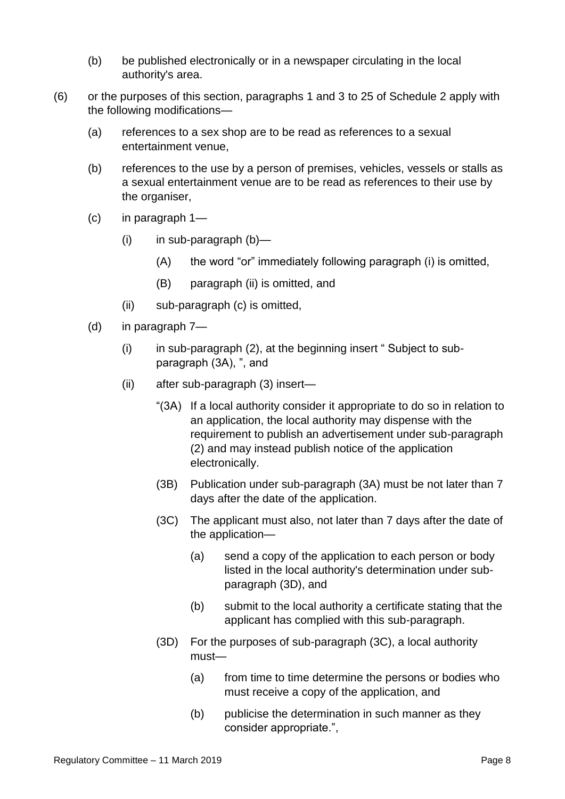- (b) be published electronically or in a newspaper circulating in the local authority's area.
- (6) or the purposes of this section, paragraphs 1 and 3 to 25 of Schedule 2 apply with the following modifications—
	- (a) references to a sex shop are to be read as references to a sexual entertainment venue,
	- (b) references to the use by a person of premises, vehicles, vessels or stalls as a sexual entertainment venue are to be read as references to their use by the organiser,
	- (c) in paragraph 1—
		- (i) in sub-paragraph (b)—
			- (A) the word "or" immediately following paragraph (i) is omitted,
			- (B) paragraph (ii) is omitted, and
		- (ii) sub-paragraph (c) is omitted,
	- (d) in paragraph 7—
		- $(i)$  in sub-paragraph  $(2)$ , at the beginning insert " Subject to subparagraph (3A), ", and
		- (ii) after sub-paragraph (3) insert—
			- "(3A) If a local authority consider it appropriate to do so in relation to an application, the local authority may dispense with the requirement to publish an advertisement under sub-paragraph (2) and may instead publish notice of the application electronically.
			- (3B) Publication under sub-paragraph (3A) must be not later than 7 days after the date of the application.
			- (3C) The applicant must also, not later than 7 days after the date of the application—
				- (a) send a copy of the application to each person or body listed in the local authority's determination under subparagraph (3D), and
				- (b) submit to the local authority a certificate stating that the applicant has complied with this sub-paragraph.
			- (3D) For the purposes of sub-paragraph (3C), a local authority must—
				- (a) from time to time determine the persons or bodies who must receive a copy of the application, and
				- (b) publicise the determination in such manner as they consider appropriate.",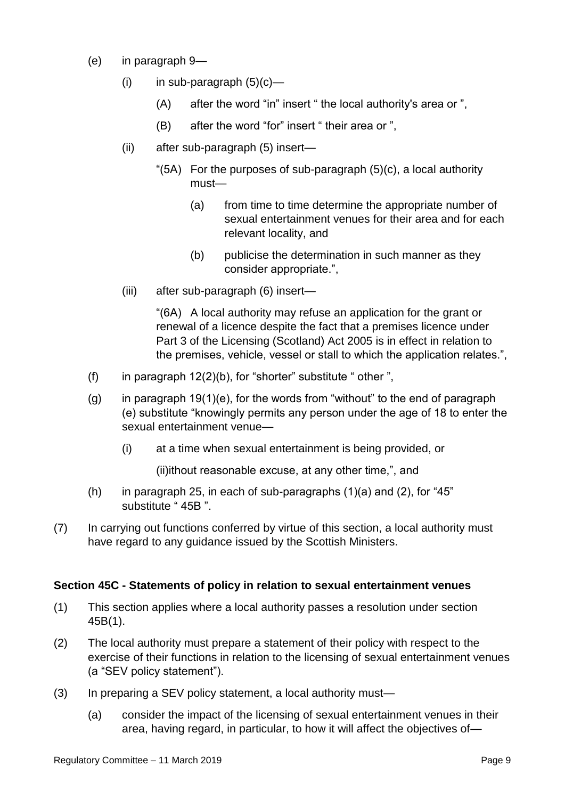- (e) in paragraph 9—
	- $(i)$  in sub-paragraph  $(5)(c)$ 
		- (A) after the word "in" insert " the local authority's area or ",
		- (B) after the word "for" insert " their area or ",
	- (ii) after sub-paragraph (5) insert—
		- "(5A) For the purposes of sub-paragraph (5)(c), a local authority must—
			- (a) from time to time determine the appropriate number of sexual entertainment venues for their area and for each relevant locality, and
			- (b) publicise the determination in such manner as they consider appropriate.",
	- (iii) after sub-paragraph (6) insert—

"(6A) A local authority may refuse an application for the grant or renewal of a licence despite the fact that a premises licence under Part 3 of the Licensing (Scotland) Act 2005 is in effect in relation to the premises, vehicle, vessel or stall to which the application relates.",

- (f) in paragraph  $12(2)(b)$ , for "shorter" substitute " other ",
- $(g)$  in paragraph 19(1)(e), for the words from "without" to the end of paragraph (e) substitute "knowingly permits any person under the age of 18 to enter the sexual entertainment venue—
	- (i) at a time when sexual entertainment is being provided, or

(ii)ithout reasonable excuse, at any other time,", and

- (h) in paragraph 25, in each of sub-paragraphs  $(1)(a)$  and  $(2)$ , for "45" substitute " 45B ".
- (7) In carrying out functions conferred by virtue of this section, a local authority must have regard to any guidance issued by the Scottish Ministers.

#### **Section 45C - Statements of policy in relation to sexual entertainment venues**

- (1) This section applies where a local authority passes a resolution under section 45B(1).
- (2) The local authority must prepare a statement of their policy with respect to the exercise of their functions in relation to the licensing of sexual entertainment venues (a "SEV policy statement").
- (3) In preparing a SEV policy statement, a local authority must—
	- (a) consider the impact of the licensing of sexual entertainment venues in their area, having regard, in particular, to how it will affect the objectives of—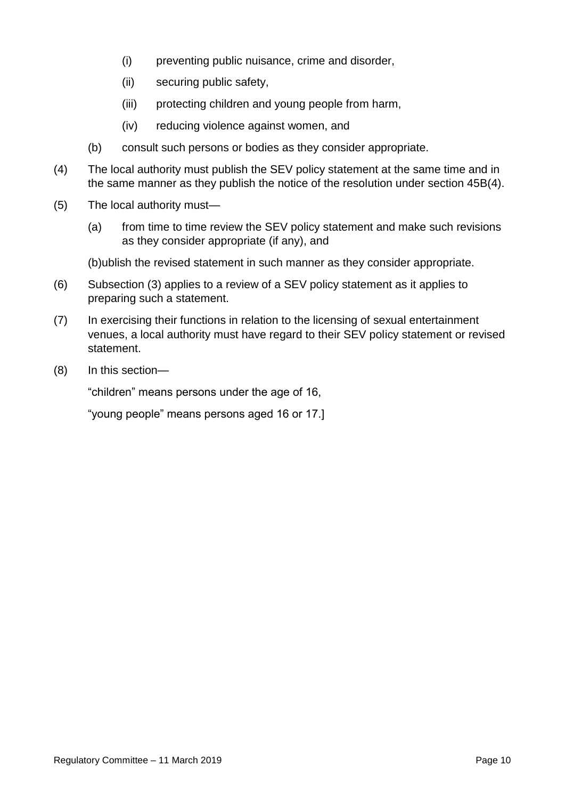- (i) preventing public nuisance, crime and disorder,
- (ii) securing public safety,
- (iii) protecting children and young people from harm,
- (iv) reducing violence against women, and
- (b) consult such persons or bodies as they consider appropriate.
- (4) The local authority must publish the SEV policy statement at the same time and in the same manner as they publish the notice of the resolution under section 45B(4).
- (5) The local authority must—
	- (a) from time to time review the SEV policy statement and make such revisions as they consider appropriate (if any), and

(b)ublish the revised statement in such manner as they consider appropriate.

- (6) Subsection (3) applies to a review of a SEV policy statement as it applies to preparing such a statement.
- (7) In exercising their functions in relation to the licensing of sexual entertainment venues, a local authority must have regard to their SEV policy statement or revised statement.
- (8) In this section—

"children" means persons under the age of 16,

"young people" means persons aged 16 or 17.]